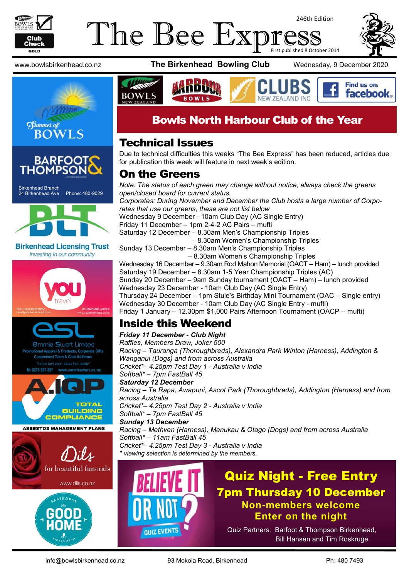

#### The Bee Exp 246th Edition First published 8 October 2014







Birkenhead Branch 24 Birkenhead Ave Phone: 480-9029



**Birkenhead Licensing Trust** Investing in our community







**ASBESTOS MANAGEMENT PLANS** 





www.bowlsbirkenhead.co.nz **The Birkenhead Bowling Club** Wednesday, 9 December 2020



#### Bowls North Harbour Club of the Year

#### Technical Issues

Due to technical difficulties this weeks "The Bee Express" has been reduced, articles due for publication this week will feature in next week's edition.

#### On the Greens

*Note: The status of each green may change without notice, always check the greens open/closed board for current status. Corporates: During November and December the Club hosts a large number of Corporates that use our greens, these are not list below* Wednesday 9 December - 10am Club Day (AC Single Entry) Friday 11 December – 1pm 2-4-2 AC Pairs – mufti Saturday 12 December – 8.30am Men's Championship Triples – 8.30am Women's Championship Triples Sunday 13 December – 8.30am Men's Championship Triples – 8.30am Women's Championship Triples Wednesday 16 December – 9.30am Rod Mahon Memorial (OACT – Ham) – lunch provided Saturday 19 December – 8.30am 1-5 Year Championship Triples (AC) Sunday 20 December – 9am Sunday tournament (OACT – Ham) – lunch provided Wednesday 23 December - 10am Club Day (AC Single Entry) Thursday 24 December – 1pm Stuie's Birthday Mini Tournament (OAC – Single entry) Wednesday 30 December - 10am Club Day (AC Single Entry - mufti) Friday 1 January – 12.30pm \$1,000 Pairs Afternoon Tournament (OACP – mufti)

#### Inside this Weekend

*Friday 11 December - Club Night Raffles, Members Draw, Joker 500 Racing – Tauranga (Thoroughbreds), Alexandra Park Winton (Harness), Addington & Wanganui (Dogs) and from across Australia Cricket\*– 4.25pm Test Day 1 - Australia v India Softball\* – 7pm FastBall 45 Saturday 12 December Racing – Te Rapa, Awapuni, Ascot Park (Thoroughbreds), Addington (Harness) and from across Australia Cricket\*– 4.25pm Test Day 2 - Australia v India Softball\* – 7pm FastBall 45 Sunday 13 December Racing – Methven (Harness), Manukau & Otago (Dogs) and from across Australia Softball\* – 11am FastBall 45 Cricket\*– 4.25pm Test Day 3 - Australia v India \* viewing selection is determined by the members.*

# **OUIZ EVENTS**

Quiz Night - Free Entry 7pm Thursday 10 December **Non-members welcome Enter on the night**

Quiz Partners: Barfoot & Thompson Birkenhead, Bill Hansen and Tim Roskruge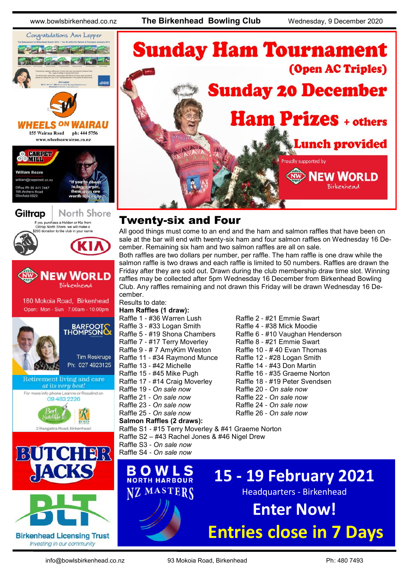www.bowlsbirkenhead.co.nz **The Birkenhead Bowling Club** Wednesday, 9 December 2020





**HEELS ON** 

155 Wairau Road ph: 444 5756 www.wheelsonwairau.co.nz











2 Rangatira Road, Birkenh

### **Sunday Ham Tournament** (Open AC Triples) **Sunday 20 December Ham Prizes + others Lunch provided** Proudly supported by **NEW WORLD** Birkenhead

#### Twenty-six and Four

All good things must come to an end and the ham and salmon raffles that have been on sale at the bar will end with twenty-six ham and four salmon raffles on Wednesday 16 December. Remaining six ham and two salmon raffles are all on sale.

Both raffles are two dollars per number, per raffle. The ham raffle is one draw while the salmon raffle is two draws and each raffle is limited to 50 numbers. Raffles are drawn the Friday after they are sold out. Drawn during the club membership draw time slot. Winning raffles may be collected after 5pm Wednesday 16 December from Birkenhead Bowling Club. Any raffles remaining and not drawn this Friday will be drawn Wednesday 16 December.

#### Results to date:

- **Ham Raffles (1 draw):** Raffle 1 - #36 Warren Lush Raffle 2 - #21 Emmie Swart Raffle 3 - #33 Logan Smith Raffle 4 - #38 Mick Moodie Raffle 5 - #19 Shona Chambers Raffle 6 - #10 Vaughan Henderson<br>Raffle 7 - #17 Terry Moverley Raffle 8 - #21 Emmie Swart Raffle 7 - #17 Terry Moverley Raffle 8 - #21 Emmie Swart<br>Raffle 9 - # 7 AmvKim Weston Raffle 10 - # 40 Evan Thomas Raffle 9 - # 7 AmvKim Weston Raffle 11 - #34 Raymond Munce Raffle 12 - #28 Logan Smith Raffle 13 - #42 Michelle Raffle 14 - #43 Don Martin Raffle 15 - #45 Mike Pugh Raffle 16 - #35 Graeme Norton Raffle 17 - #14 Craig Moverley Raffle 18 - #19 Peter Svendsen Raffle 19 - *On sale now* Raffle 20 - *On sale now* Raffle 21 - *On sale now* Raffle 22 - *On sale now* Raffle 23 - *On sale now* Raffle 24 - *On sale now* Raffle 25 - *On sale now* Raffle 26 - *On sale now* **Salmon Raffles (2 draws):** Raffle S3 - *On sale now*
- 

Raffle S1 - #15 Terry Moverley & #41 Graeme Norton

- Raffle S2 #43 Rachel Jones & #46 Nigel Drew
- Raffle S4 *On sale now*

**BOWLS 15 - 19 February 2021** Z MASTERS Headquarters - Birkenhead **Enter Now! Entries close in 7 Days**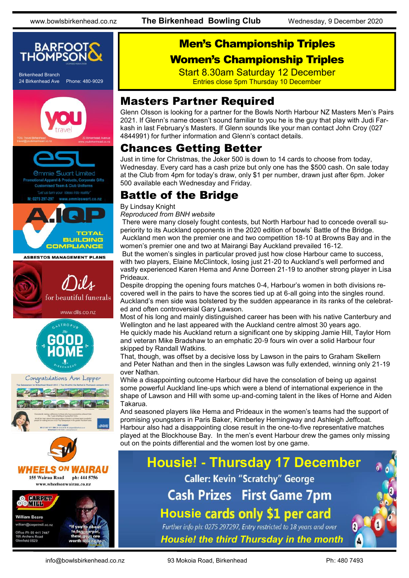

#### Men's Championship Triples Women's Championship Triples

Start 8.30am Saturday 12 December Entries close 5pm Thursday 10 December

#### Masters Partner Required

Glenn Olsson is looking for a partner for the Bowls North Harbour NZ Masters Men's Pairs 2021. If Glenn's name doesn't sound familiar to you he is the guy that play with Judi Farkash in last February's Masters. If Glenn sounds like your man contact John Croy (027 4844991) for further information and Glenn's contact details.

#### Chances Getting Better

Just in time for Christmas, the Joker 500 is down to 14 cards to choose from today, Wednesday. Every card has a cash prize but only one has the \$500 cash. On sale today at the Club from 4pm for today's draw, only \$1 per number, drawn just after 6pm. Joker 500 available each Wednesday and Friday.

#### Battle of the Bridge

By Lindsay Knight

#### *Reproduced from BNH website*

There were many closely fought contests, but North Harbour had to concede overall superiority to its Auckland opponents in the 2020 edition of bowls' Battle of the Bridge. Auckland men won the premier one and two competition 18-10 at Browns Bay and in the women's premier one and two at Mairangi Bay Auckland prevailed 16-12.

But the women's singles in particular proved just how close Harbour came to success, with two players, Elaine McClintock, losing just 21-20 to Auckland's well performed and vastly experienced Karen Hema and Anne Dorreen 21-19 to another strong player in Lisa Prideaux.

Despite dropping the opening fours matches 0-4, Harbour's women in both divisions recovered well in the pairs to have the scores tied up at 6-all going into the singles round. Auckland's men side was bolstered by the sudden appearance in its ranks of the celebrated and often controversial Gary Lawson.

Most of his long and mainly distinguished career has been with his native Canterbury and Wellington and he last appeared with the Auckland centre almost 30 years ago. He quickly made his Auckland return a significant one by skipping Jamie Hill, Taylor Horn

and veteran Mike Bradshaw to an emphatic 20-9 fours win over a solid Harbour four skipped by Randall Watkins.

That, though, was offset by a decisive loss by Lawson in the pairs to Graham Skellern and Peter Nathan and then in the singles Lawson was fully extended, winning only 21-19 over Nathan.

While a disappointing outcome Harbour did have the consolation of being up against some powerful Auckland line-ups which were a blend of international experience in the shape of Lawson and Hill with some up-and-coming talent in the likes of Horne and Aiden Takarua.

And seasoned players like Hema and Prideaux in the women's teams had the support of promising youngsters in Paris Baker, Kimberley Hemingway and Ashleigh Jeffcoat. Harbour also had a disappointing close result in the one-to-five representative matches played at the Blockhouse Bay. In the men's event Harbour drew the games only missing out on the points differential and the women lost by one game.

#### **Housie! - Thursday 17 December Caller: Kevin "Scratchy" George Cash Prizes First Game 7pm Housie** Further info ph: 0275 297297, Entry restricted to 18 years and over *Housie! the third Thursday in the month*

info@bowlsbirkenhead.co.nz 93 Mokoia Road, Birkenhead Ph: 480 7493